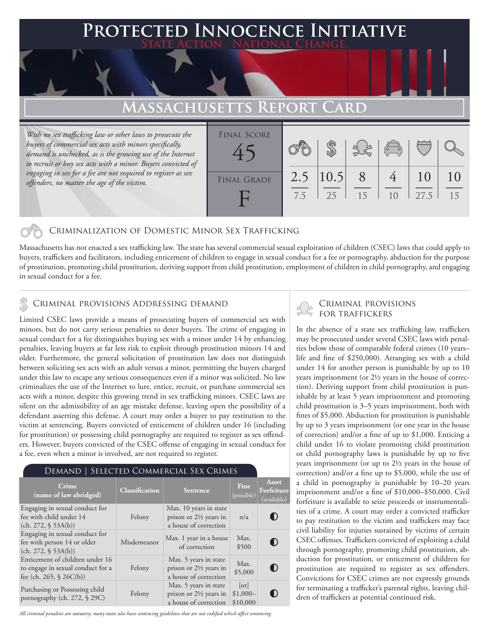### **Protected Innocence Initiative State Action . National Change.**

## **Massachusetts Report Card**

*With no sex trafficking law or other laws to prosecute the buyers of commercial sex acts with minors specifically, demand is unchecked, as is the growing use of the Internet to recruit or buy sex acts with a minor. Buyers convicted of engaging in sex for a fee are not required to register as sex offenders, no matter the age of the victim.*

| <b>FINAL SCORE</b> |            |             |         | $\sqrt{\frac{1}{10}}$ |            |          |
|--------------------|------------|-------------|---------|-----------------------|------------|----------|
| <b>FINAL GRADE</b> | 2.5<br>7.5 | 10.5 <br>25 | 8<br>15 | 10                    | 10<br>27.5 | 10<br>15 |

#### Criminalization of Domestic Minor Sex Trafficking

Massachusetts has not enacted a sex trafficking law. The state has several commercial sexual exploitation of children (CSEC) laws that could apply to buyers, traffickers and facilitators, including enticement of children to engage in sexual conduct for a fee or pornography, abduction for the purpose of prostitution, promoting child prostitution, deriving support from child prostitution, employment of children in child pornography, and engaging in sexual conduct for a fee.

#### Criminal provisions Addressing demand

Limited CSEC laws provide a means of prosecuting buyers of commercial sex with minors, but do not carry serious penalties to deter buyers. The crime of engaging in sexual conduct for a fee distinguishes buying sex with a minor under 14 by enhancing penalties, leaving buyers at far less risk to exploit through prostitution minors 14 and older. Furthermore, the general solicitation of prostitution law does not distinguish between soliciting sex acts with an adult versus a minor, permitting the buyers charged under this law to escape any serious consequences even if a minor was solicited. No law criminalizes the use of the Internet to lure, entice, recruit, or purchase commercial sex acts with a minor, despite this growing trend in sex trafficking minors. CSEC laws are silent on the admissibility of an age mistake defense, leaving open the possibility of a defendant asserting this defense. A court may order a buyer to pay restitution to the victim at sentencing. Buyers convicted of enticement of children under 16 (including for prostitution) or possessing child pornography are required to register as sex offenders. However, buyers convicted of the CSEC offense of engaging in sexual conduct for a fee, even when a minor is involved, are not required to register.

#### Demand | Selected Commercial Sex Crimes

| Crime<br>(name of law abridged)                                                                   | <b>Classification</b> | Sentence                                                                             | Fine<br>(possible)            | Asset<br>Forfeiture<br>(available) |
|---------------------------------------------------------------------------------------------------|-----------------------|--------------------------------------------------------------------------------------|-------------------------------|------------------------------------|
| Engaging in sexual conduct for<br>fee with child under 14<br>(ch. 272, § 53A(b))                  | Felony                | Max. 10 years in state<br>prison or $2\frac{1}{2}$ years in<br>a house of correction | n/a                           | O                                  |
| Engaging in sexual conduct for<br>fee with person 14 or older<br>(ch. 272, § 53A(b))              | Misdemeanor           | Max. 1 year in a house<br>of correction                                              | Max.<br>\$500                 | 0                                  |
| Enticement of children under 16<br>to engage in sexual conduct for a<br>fee (ch. 265, $$26C(b)$ ) | Felony                | Max. 5 years in state<br>prison or $2\frac{1}{2}$ years in<br>a house of correction  | Max.<br>\$5,000               | O                                  |
| Purchasing or Possessing child<br>pornography (ch. 272, § 29C)                                    | Felony                | Max. 5 years in state<br>prison or $2\frac{1}{2}$ years in<br>a house of correction  | [or]<br>$$1,000-$<br>\$10,000 | $\blacksquare$ )                   |

*All criminal penalties are statutory; many states also have sentencing guidelines that are not codified which affect sentencing.* 

# Criminal provisions

In the absence of a state sex trafficking law, traffickers may be prosecuted under several CSEC laws with penalties below those of comparable federal crimes (10 years– life and fine of \$250,000). Arranging sex with a child under 14 for another person is punishable by up to 10 years imprisonment (or 2½ years in the house of correction). Deriving support from child prostitution is punishable by at least 5 years imprisonment and promoting child prostitution is 3–5 years imprisonment, both with fines of \$5,000. Abduction for prostitution is punishable by up to 3 years imprisonment (or one year in the house of correction) and/or a fine of up to \$1,000. Enticing a child under 16 to violate promoting child prostitution or child pornography laws is punishable by up to five years imprisonment (or up to 2½ years in the house of correction) and/or a fine up to \$5,000, while the use of a child in pornography is punishable by 10–20 years imprisonment and/or a fine of \$10,000–\$50,000. Civil forfeiture is available to seize proceeds or instrumentalities of a crime. A court may order a convicted trafficker to pay restitution to the victim and traffickers may face civil liability for injuries sustained by victims of certain CSEC offenses. Traffickers convicted of exploiting a child through pornography, promoting child prostitution, abduction for prostitution, or enticement of children for prostitution are required to register as sex offenders. Convictions for CSEC crimes are not expressly grounds for terminating a trafficker's parental rights, leaving children of traffickers at potential continued risk.